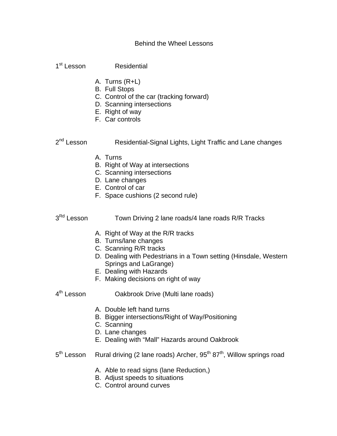## Behind the Wheel Lessons

1<sup>st</sup> Lesson Residential

- A. Turns (R+L)
- B. Full Stops
- C. Control of the car (tracking forward)
- D. Scanning intersections
- E. Right of way
- F. Car controls

2<sup>nd</sup> Lesson Residential-Signal Lights, Light Traffic and Lane changes

- A. Turns
- B. Right of Way at intersections
- C. Scanning intersections
- D. Lane changes
- E. Control of car
- F. Space cushions (2 second rule)

## $3<sup>Rd</sup>$  Lesson Town Driving 2 lane roads/4 lane roads R/R Tracks

- A. Right of Way at the R/R tracks
- B. Turns/lane changes
- C. Scanning R/R tracks
- D. Dealing with Pedestrians in a Town setting (Hinsdale, Western Springs and LaGrange)
- E. Dealing with Hazards
- F. Making decisions on right of way

4<sup>th</sup> Lesson **Oakbrook Drive (Multi lane roads)** 

- A. Double left hand turns
- B. Bigger intersections/Right of Way/Positioning
- C. Scanning
- D. Lane changes
- E. Dealing with "Mall" Hazards around Oakbrook
- $5<sup>th</sup>$  Lesson Rural driving (2 lane roads) Archer,  $95<sup>th</sup>$  87<sup>th</sup>, Willow springs road
	- A. Able to read signs (lane Reduction,)
	- B. Adjust speeds to situations
	- C. Control around curves